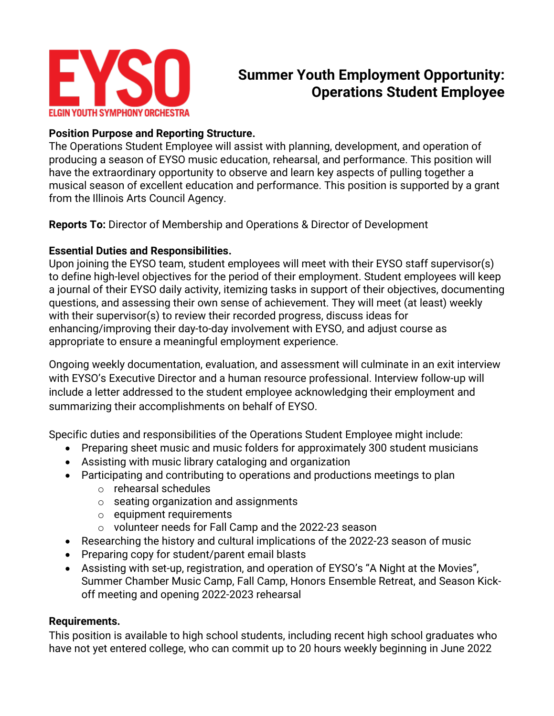

# **Summer Youth Employment Opportunity: Operations Student Employee**

# **Position Purpose and Reporting Structure.**

The Operations Student Employee will assist with planning, development, and operation of producing a season of EYSO music education, rehearsal, and performance. This position will have the extraordinary opportunity to observe and learn key aspects of pulling together a musical season of excellent education and performance. This position is supported by a grant from the Illinois Arts Council Agency.

**Reports To:** Director of Membership and Operations & Director of Development

## **Essential Duties and Responsibilities.**

Upon joining the EYSO team, student employees will meet with their EYSO staff supervisor(s) to define high-level objectives for the period of their employment. Student employees will keep a journal of their EYSO daily activity, itemizing tasks in support of their objectives, documenting questions, and assessing their own sense of achievement. They will meet (at least) weekly with their supervisor(s) to review their recorded progress, discuss ideas for enhancing/improving their day-to-day involvement with EYSO, and adjust course as appropriate to ensure a meaningful employment experience.

Ongoing weekly documentation, evaluation, and assessment will culminate in an exit interview with EYSO's Executive Director and a human resource professional. Interview follow-up will include a letter addressed to the student employee acknowledging their employment and summarizing their accomplishments on behalf of EYSO.

Specific duties and responsibilities of the Operations Student Employee might include:

- Preparing sheet music and music folders for approximately 300 student musicians
- Assisting with music library cataloging and organization
- Participating and contributing to operations and productions meetings to plan
	- o rehearsal schedules
	- o seating organization and assignments
	- o equipment requirements
	- o volunteer needs for Fall Camp and the 2022-23 season
- Researching the history and cultural implications of the 2022-23 season of music
- Preparing copy for student/parent email blasts
- Assisting with set-up, registration, and operation of EYSO's "A Night at the Movies", Summer Chamber Music Camp, Fall Camp, Honors Ensemble Retreat, and Season Kickoff meeting and opening 2022-2023 rehearsal

# **Requirements.**

This position is available to high school students, including recent high school graduates who have not yet entered college, who can commit up to 20 hours weekly beginning in June 2022